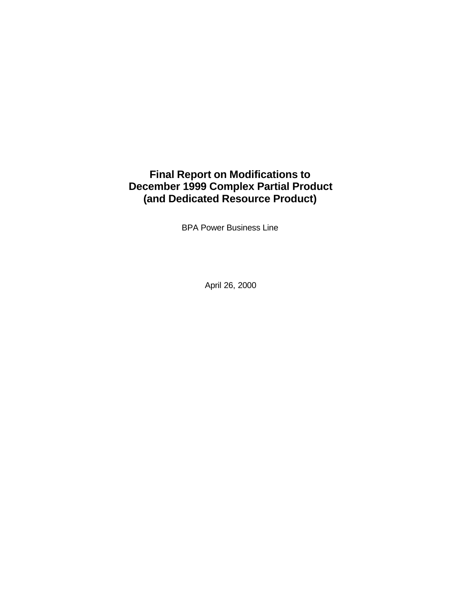# **Final Report on Modifications to December 1999 Complex Partial Product (and Dedicated Resource Product)**

BPA Power Business Line

April 26, 2000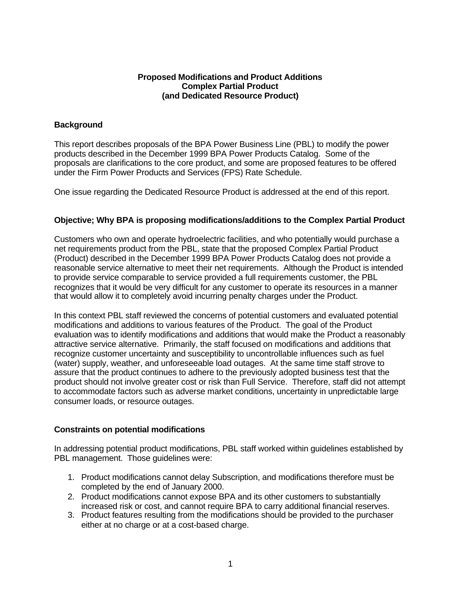#### **Proposed Modifications and Product Additions Complex Partial Product (and Dedicated Resource Product)**

## **Background**

This report describes proposals of the BPA Power Business Line (PBL) to modify the power products described in the December 1999 BPA Power Products Catalog. Some of the proposals are clarifications to the core product, and some are proposed features to be offered under the Firm Power Products and Services (FPS) Rate Schedule.

One issue regarding the Dedicated Resource Product is addressed at the end of this report.

# **Objective; Why BPA is proposing modifications/additions to the Complex Partial Product**

Customers who own and operate hydroelectric facilities, and who potentially would purchase a net requirements product from the PBL, state that the proposed Complex Partial Product (Product) described in the December 1999 BPA Power Products Catalog does not provide a reasonable service alternative to meet their net requirements. Although the Product is intended to provide service comparable to service provided a full requirements customer, the PBL recognizes that it would be very difficult for any customer to operate its resources in a manner that would allow it to completely avoid incurring penalty charges under the Product.

In this context PBL staff reviewed the concerns of potential customers and evaluated potential modifications and additions to various features of the Product. The goal of the Product evaluation was to identify modifications and additions that would make the Product a reasonably attractive service alternative. Primarily, the staff focused on modifications and additions that recognize customer uncertainty and susceptibility to uncontrollable influences such as fuel (water) supply, weather, and unforeseeable load outages. At the same time staff strove to assure that the product continues to adhere to the previously adopted business test that the product should not involve greater cost or risk than Full Service. Therefore, staff did not attempt to accommodate factors such as adverse market conditions, uncertainty in unpredictable large consumer loads, or resource outages.

## **Constraints on potential modifications**

In addressing potential product modifications, PBL staff worked within guidelines established by PBL management. Those guidelines were:

- 1. Product modifications cannot delay Subscription, and modifications therefore must be completed by the end of January 2000.
- 2. Product modifications cannot expose BPA and its other customers to substantially increased risk or cost, and cannot require BPA to carry additional financial reserves.
- 3. Product features resulting from the modifications should be provided to the purchaser either at no charge or at a cost-based charge.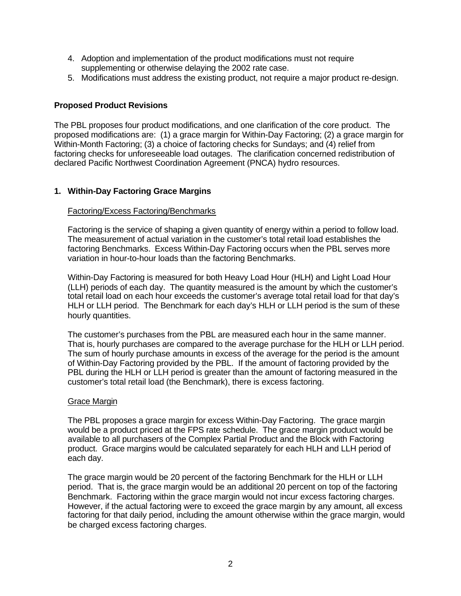- 4. Adoption and implementation of the product modifications must not require supplementing or otherwise delaying the 2002 rate case.
- 5. Modifications must address the existing product, not require a major product re-design.

# **Proposed Product Revisions**

The PBL proposes four product modifications, and one clarification of the core product. The proposed modifications are: (1) a grace margin for Within-Day Factoring; (2) a grace margin for Within-Month Factoring; (3) a choice of factoring checks for Sundays; and (4) relief from factoring checks for unforeseeable load outages. The clarification concerned redistribution of declared Pacific Northwest Coordination Agreement (PNCA) hydro resources.

# **1. Within-Day Factoring Grace Margins**

## Factoring/Excess Factoring/Benchmarks

Factoring is the service of shaping a given quantity of energy within a period to follow load. The measurement of actual variation in the customer's total retail load establishes the factoring Benchmarks. Excess Within-Day Factoring occurs when the PBL serves more variation in hour-to-hour loads than the factoring Benchmarks.

Within-Day Factoring is measured for both Heavy Load Hour (HLH) and Light Load Hour (LLH) periods of each day. The quantity measured is the amount by which the customer's total retail load on each hour exceeds the customer's average total retail load for that day's HLH or LLH period. The Benchmark for each day's HLH or LLH period is the sum of these hourly quantities.

The customer's purchases from the PBL are measured each hour in the same manner. That is, hourly purchases are compared to the average purchase for the HLH or LLH period. The sum of hourly purchase amounts in excess of the average for the period is the amount of Within-Day Factoring provided by the PBL. If the amount of factoring provided by the PBL during the HLH or LLH period is greater than the amount of factoring measured in the customer's total retail load (the Benchmark), there is excess factoring.

## Grace Margin

The PBL proposes a grace margin for excess Within-Day Factoring. The grace margin would be a product priced at the FPS rate schedule. The grace margin product would be available to all purchasers of the Complex Partial Product and the Block with Factoring product. Grace margins would be calculated separately for each HLH and LLH period of each day.

The grace margin would be 20 percent of the factoring Benchmark for the HLH or LLH period. That is, the grace margin would be an additional 20 percent on top of the factoring Benchmark. Factoring within the grace margin would not incur excess factoring charges. However, if the actual factoring were to exceed the grace margin by any amount, all excess factoring for that daily period, including the amount otherwise within the grace margin, would be charged excess factoring charges.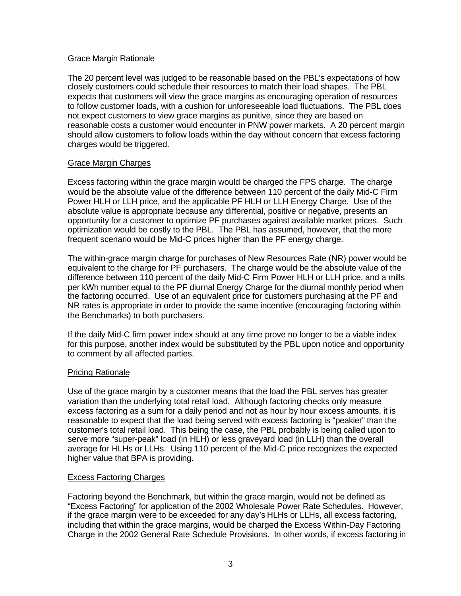## Grace Margin Rationale

The 20 percent level was judged to be reasonable based on the PBL's expectations of how closely customers could schedule their resources to match their load shapes. The PBL expects that customers will view the grace margins as encouraging operation of resources to follow customer loads, with a cushion for unforeseeable load fluctuations. The PBL does not expect customers to view grace margins as punitive, since they are based on reasonable costs a customer would encounter in PNW power markets. A 20 percent margin should allow customers to follow loads within the day without concern that excess factoring charges would be triggered.

## Grace Margin Charges

Excess factoring within the grace margin would be charged the FPS charge. The charge would be the absolute value of the difference between 110 percent of the daily Mid-C Firm Power HLH or LLH price, and the applicable PF HLH or LLH Energy Charge. Use of the absolute value is appropriate because any differential, positive or negative, presents an opportunity for a customer to optimize PF purchases against available market prices. Such optimization would be costly to the PBL. The PBL has assumed, however, that the more frequent scenario would be Mid-C prices higher than the PF energy charge.

The within-grace margin charge for purchases of New Resources Rate (NR) power would be equivalent to the charge for PF purchasers. The charge would be the absolute value of the difference between 110 percent of the daily Mid-C Firm Power HLH or LLH price, and a mills per kWh number equal to the PF diurnal Energy Charge for the diurnal monthly period when the factoring occurred. Use of an equivalent price for customers purchasing at the PF and NR rates is appropriate in order to provide the same incentive (encouraging factoring within the Benchmarks) to both purchasers.

If the daily Mid-C firm power index should at any time prove no longer to be a viable index for this purpose, another index would be substituted by the PBL upon notice and opportunity to comment by all affected parties.

## Pricing Rationale

Use of the grace margin by a customer means that the load the PBL serves has greater variation than the underlying total retail load. Although factoring checks only measure excess factoring as a sum for a daily period and not as hour by hour excess amounts, it is reasonable to expect that the load being served with excess factoring is "peakier" than the customer's total retail load. This being the case, the PBL probably is being called upon to serve more "super-peak" load (in HLH) or less graveyard load (in LLH) than the overall average for HLHs or LLHs. Using 110 percent of the Mid-C price recognizes the expected higher value that BPA is providing.

## Excess Factoring Charges

Factoring beyond the Benchmark, but within the grace margin, would not be defined as "Excess Factoring" for application of the 2002 Wholesale Power Rate Schedules. However, if the grace margin were to be exceeded for any day's HLHs or LLHs, all excess factoring, including that within the grace margins, would be charged the Excess Within-Day Factoring Charge in the 2002 General Rate Schedule Provisions. In other words, if excess factoring in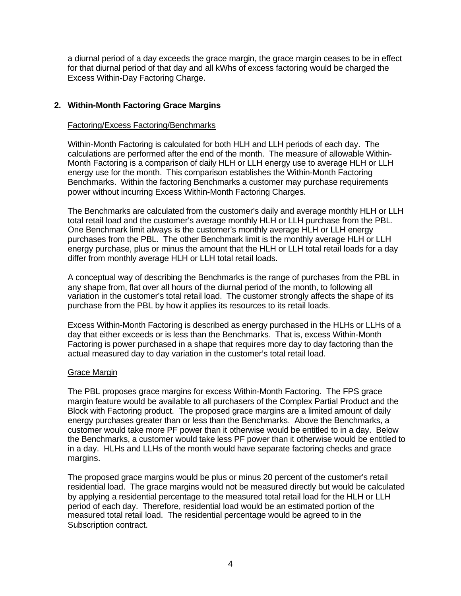a diurnal period of a day exceeds the grace margin, the grace margin ceases to be in effect for that diurnal period of that day and all kWhs of excess factoring would be charged the Excess Within-Day Factoring Charge.

# **2. Within-Month Factoring Grace Margins**

#### Factoring/Excess Factoring/Benchmarks

Within-Month Factoring is calculated for both HLH and LLH periods of each day. The calculations are performed after the end of the month. The measure of allowable Within-Month Factoring is a comparison of daily HLH or LLH energy use to average HLH or LLH energy use for the month. This comparison establishes the Within-Month Factoring Benchmarks. Within the factoring Benchmarks a customer may purchase requirements power without incurring Excess Within-Month Factoring Charges.

The Benchmarks are calculated from the customer's daily and average monthly HLH or LLH total retail load and the customer's average monthly HLH or LLH purchase from the PBL. One Benchmark limit always is the customer's monthly average HLH or LLH energy purchases from the PBL. The other Benchmark limit is the monthly average HLH or LLH energy purchase, plus or minus the amount that the HLH or LLH total retail loads for a day differ from monthly average HLH or LLH total retail loads.

A conceptual way of describing the Benchmarks is the range of purchases from the PBL in any shape from, flat over all hours of the diurnal period of the month, to following all variation in the customer's total retail load. The customer strongly affects the shape of its purchase from the PBL by how it applies its resources to its retail loads.

Excess Within-Month Factoring is described as energy purchased in the HLHs or LLHs of a day that either exceeds or is less than the Benchmarks. That is, excess Within-Month Factoring is power purchased in a shape that requires more day to day factoring than the actual measured day to day variation in the customer's total retail load.

## Grace Margin

The PBL proposes grace margins for excess Within-Month Factoring. The FPS grace margin feature would be available to all purchasers of the Complex Partial Product and the Block with Factoring product. The proposed grace margins are a limited amount of daily energy purchases greater than or less than the Benchmarks. Above the Benchmarks, a customer would take more PF power than it otherwise would be entitled to in a day. Below the Benchmarks, a customer would take less PF power than it otherwise would be entitled to in a day. HLHs and LLHs of the month would have separate factoring checks and grace margins.

The proposed grace margins would be plus or minus 20 percent of the customer's retail residential load. The grace margins would not be measured directly but would be calculated by applying a residential percentage to the measured total retail load for the HLH or LLH period of each day. Therefore, residential load would be an estimated portion of the measured total retail load. The residential percentage would be agreed to in the Subscription contract.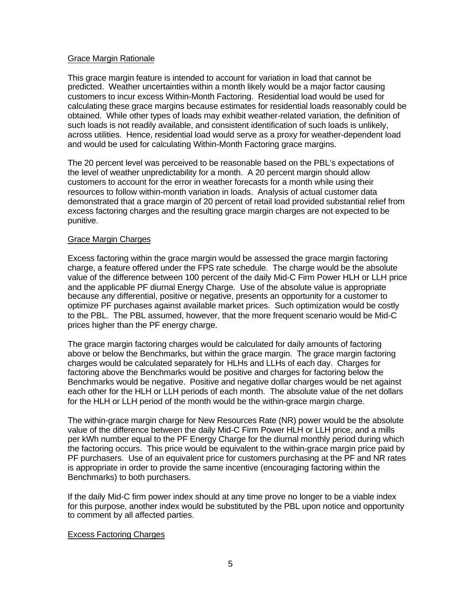## Grace Margin Rationale

This grace margin feature is intended to account for variation in load that cannot be predicted. Weather uncertainties within a month likely would be a major factor causing customers to incur excess Within-Month Factoring. Residential load would be used for calculating these grace margins because estimates for residential loads reasonably could be obtained. While other types of loads may exhibit weather-related variation, the definition of such loads is not readily available, and consistent identification of such loads is unlikely, across utilities. Hence, residential load would serve as a proxy for weather-dependent load and would be used for calculating Within-Month Factoring grace margins.

The 20 percent level was perceived to be reasonable based on the PBL's expectations of the level of weather unpredictability for a month. A 20 percent margin should allow customers to account for the error in weather forecasts for a month while using their resources to follow within-month variation in loads. Analysis of actual customer data demonstrated that a grace margin of 20 percent of retail load provided substantial relief from excess factoring charges and the resulting grace margin charges are not expected to be punitive.

#### Grace Margin Charges

Excess factoring within the grace margin would be assessed the grace margin factoring charge, a feature offered under the FPS rate schedule. The charge would be the absolute value of the difference between 100 percent of the daily Mid-C Firm Power HLH or LLH price and the applicable PF diurnal Energy Charge. Use of the absolute value is appropriate because any differential, positive or negative, presents an opportunity for a customer to optimize PF purchases against available market prices. Such optimization would be costly to the PBL. The PBL assumed, however, that the more frequent scenario would be Mid-C prices higher than the PF energy charge.

The grace margin factoring charges would be calculated for daily amounts of factoring above or below the Benchmarks, but within the grace margin. The grace margin factoring charges would be calculated separately for HLHs and LLHs of each day. Charges for factoring above the Benchmarks would be positive and charges for factoring below the Benchmarks would be negative. Positive and negative dollar charges would be net against each other for the HLH or LLH periods of each month. The absolute value of the net dollars for the HLH or LLH period of the month would be the within-grace margin charge.

The within-grace margin charge for New Resources Rate (NR) power would be the absolute value of the difference between the daily Mid-C Firm Power HLH or LLH price, and a mills per kWh number equal to the PF Energy Charge for the diurnal monthly period during which the factoring occurs. This price would be equivalent to the within-grace margin price paid by PF purchasers. Use of an equivalent price for customers purchasing at the PF and NR rates is appropriate in order to provide the same incentive (encouraging factoring within the Benchmarks) to both purchasers.

If the daily Mid-C firm power index should at any time prove no longer to be a viable index for this purpose, another index would be substituted by the PBL upon notice and opportunity to comment by all affected parties.

## Excess Factoring Charges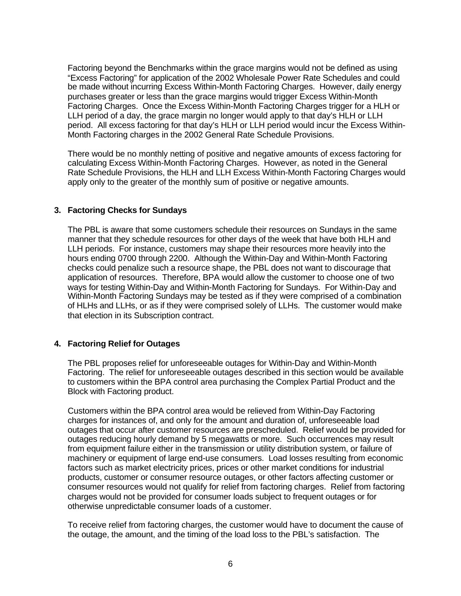Factoring beyond the Benchmarks within the grace margins would not be defined as using "Excess Factoring" for application of the 2002 Wholesale Power Rate Schedules and could be made without incurring Excess Within-Month Factoring Charges. However, daily energy purchases greater or less than the grace margins would trigger Excess Within-Month Factoring Charges. Once the Excess Within-Month Factoring Charges trigger for a HLH or LLH period of a day, the grace margin no longer would apply to that day's HLH or LLH period. All excess factoring for that day's HLH or LLH period would incur the Excess Within-Month Factoring charges in the 2002 General Rate Schedule Provisions.

There would be no monthly netting of positive and negative amounts of excess factoring for calculating Excess Within-Month Factoring Charges. However, as noted in the General Rate Schedule Provisions, the HLH and LLH Excess Within-Month Factoring Charges would apply only to the greater of the monthly sum of positive or negative amounts.

# **3. Factoring Checks for Sundays**

The PBL is aware that some customers schedule their resources on Sundays in the same manner that they schedule resources for other days of the week that have both HLH and LLH periods. For instance, customers may shape their resources more heavily into the hours ending 0700 through 2200. Although the Within-Day and Within-Month Factoring checks could penalize such a resource shape, the PBL does not want to discourage that application of resources. Therefore, BPA would allow the customer to choose one of two ways for testing Within-Day and Within-Month Factoring for Sundays. For Within-Day and Within-Month Factoring Sundays may be tested as if they were comprised of a combination of HLHs and LLHs, or as if they were comprised solely of LLHs. The customer would make that election in its Subscription contract.

## **4. Factoring Relief for Outages**

The PBL proposes relief for unforeseeable outages for Within-Day and Within-Month Factoring. The relief for unforeseeable outages described in this section would be available to customers within the BPA control area purchasing the Complex Partial Product and the Block with Factoring product.

Customers within the BPA control area would be relieved from Within-Day Factoring charges for instances of, and only for the amount and duration of, unforeseeable load outages that occur after customer resources are prescheduled. Relief would be provided for outages reducing hourly demand by 5 megawatts or more. Such occurrences may result from equipment failure either in the transmission or utility distribution system, or failure of machinery or equipment of large end-use consumers. Load losses resulting from economic factors such as market electricity prices, prices or other market conditions for industrial products, customer or consumer resource outages, or other factors affecting customer or consumer resources would not qualify for relief from factoring charges. Relief from factoring charges would not be provided for consumer loads subject to frequent outages or for otherwise unpredictable consumer loads of a customer.

To receive relief from factoring charges, the customer would have to document the cause of the outage, the amount, and the timing of the load loss to the PBL's satisfaction. The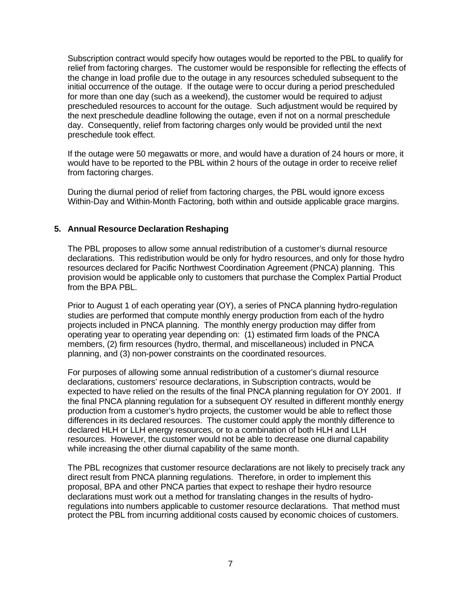Subscription contract would specify how outages would be reported to the PBL to qualify for relief from factoring charges. The customer would be responsible for reflecting the effects of the change in load profile due to the outage in any resources scheduled subsequent to the initial occurrence of the outage. If the outage were to occur during a period prescheduled for more than one day (such as a weekend), the customer would be required to adjust prescheduled resources to account for the outage. Such adjustment would be required by the next preschedule deadline following the outage, even if not on a normal preschedule day. Consequently, relief from factoring charges only would be provided until the next preschedule took effect.

If the outage were 50 megawatts or more, and would have a duration of 24 hours or more, it would have to be reported to the PBL within 2 hours of the outage in order to receive relief from factoring charges.

During the diurnal period of relief from factoring charges, the PBL would ignore excess Within-Day and Within-Month Factoring, both within and outside applicable grace margins.

# **5. Annual Resource Declaration Reshaping**

The PBL proposes to allow some annual redistribution of a customer's diurnal resource declarations. This redistribution would be only for hydro resources, and only for those hydro resources declared for Pacific Northwest Coordination Agreement (PNCA) planning. This provision would be applicable only to customers that purchase the Complex Partial Product from the BPA PBL.

Prior to August 1 of each operating year (OY), a series of PNCA planning hydro-regulation studies are performed that compute monthly energy production from each of the hydro projects included in PNCA planning. The monthly energy production may differ from operating year to operating year depending on: (1) estimated firm loads of the PNCA members, (2) firm resources (hydro, thermal, and miscellaneous) included in PNCA planning, and (3) non-power constraints on the coordinated resources.

For purposes of allowing some annual redistribution of a customer's diurnal resource declarations, customers' resource declarations, in Subscription contracts, would be expected to have relied on the results of the final PNCA planning regulation for OY 2001. If the final PNCA planning regulation for a subsequent OY resulted in different monthly energy production from a customer's hydro projects, the customer would be able to reflect those differences in its declared resources. The customer could apply the monthly difference to declared HLH or LLH energy resources, or to a combination of both HLH and LLH resources. However, the customer would not be able to decrease one diurnal capability while increasing the other diurnal capability of the same month.

The PBL recognizes that customer resource declarations are not likely to precisely track any direct result from PNCA planning regulations. Therefore, in order to implement this proposal, BPA and other PNCA parties that expect to reshape their hydro resource declarations must work out a method for translating changes in the results of hydroregulations into numbers applicable to customer resource declarations. That method must protect the PBL from incurring additional costs caused by economic choices of customers.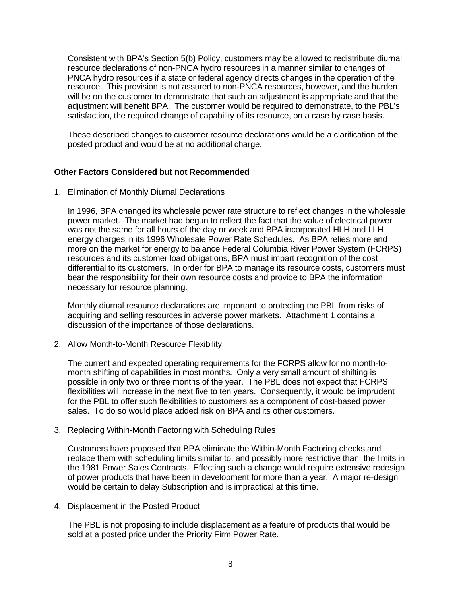Consistent with BPA's Section 5(b) Policy, customers may be allowed to redistribute diurnal resource declarations of non-PNCA hydro resources in a manner similar to changes of PNCA hydro resources if a state or federal agency directs changes in the operation of the resource. This provision is not assured to non-PNCA resources, however, and the burden will be on the customer to demonstrate that such an adjustment is appropriate and that the adjustment will benefit BPA. The customer would be required to demonstrate, to the PBL's satisfaction, the required change of capability of its resource, on a case by case basis.

These described changes to customer resource declarations would be a clarification of the posted product and would be at no additional charge.

## **Other Factors Considered but not Recommended**

1. Elimination of Monthly Diurnal Declarations

In 1996, BPA changed its wholesale power rate structure to reflect changes in the wholesale power market. The market had begun to reflect the fact that the value of electrical power was not the same for all hours of the day or week and BPA incorporated HLH and LLH energy charges in its 1996 Wholesale Power Rate Schedules. As BPA relies more and more on the market for energy to balance Federal Columbia River Power System (FCRPS) resources and its customer load obligations, BPA must impart recognition of the cost differential to its customers. In order for BPA to manage its resource costs, customers must bear the responsibility for their own resource costs and provide to BPA the information necessary for resource planning.

Monthly diurnal resource declarations are important to protecting the PBL from risks of acquiring and selling resources in adverse power markets. Attachment 1 contains a discussion of the importance of those declarations.

2. Allow Month-to-Month Resource Flexibility

The current and expected operating requirements for the FCRPS allow for no month-tomonth shifting of capabilities in most months. Only a very small amount of shifting is possible in only two or three months of the year. The PBL does not expect that FCRPS flexibilities will increase in the next five to ten years. Consequently, it would be imprudent for the PBL to offer such flexibilities to customers as a component of cost-based power sales. To do so would place added risk on BPA and its other customers.

3. Replacing Within-Month Factoring with Scheduling Rules

Customers have proposed that BPA eliminate the Within-Month Factoring checks and replace them with scheduling limits similar to, and possibly more restrictive than, the limits in the 1981 Power Sales Contracts. Effecting such a change would require extensive redesign of power products that have been in development for more than a year. A major re-design would be certain to delay Subscription and is impractical at this time.

4. Displacement in the Posted Product

The PBL is not proposing to include displacement as a feature of products that would be sold at a posted price under the Priority Firm Power Rate.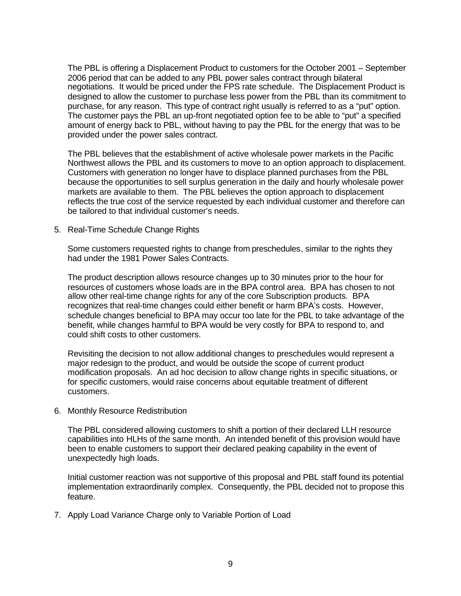The PBL is offering a Displacement Product to customers for the October 2001 – September 2006 period that can be added to any PBL power sales contract through bilateral negotiations. It would be priced under the FPS rate schedule. The Displacement Product is designed to allow the customer to purchase less power from the PBL than its commitment to purchase, for any reason. This type of contract right usually is referred to as a "put" option. The customer pays the PBL an up-front negotiated option fee to be able to "put" a specified amount of energy back to PBL, without having to pay the PBL for the energy that was to be provided under the power sales contract.

The PBL believes that the establishment of active wholesale power markets in the Pacific Northwest allows the PBL and its customers to move to an option approach to displacement. Customers with generation no longer have to displace planned purchases from the PBL because the opportunities to sell surplus generation in the daily and hourly wholesale power markets are available to them. The PBL believes the option approach to displacement reflects the true cost of the service requested by each individual customer and therefore can be tailored to that individual customer's needs.

5. Real-Time Schedule Change Rights

Some customers requested rights to change from preschedules, similar to the rights they had under the 1981 Power Sales Contracts.

The product description allows resource changes up to 30 minutes prior to the hour for resources of customers whose loads are in the BPA control area. BPA has chosen to not allow other real-time change rights for any of the core Subscription products. BPA recognizes that real-time changes could either benefit or harm BPA's costs. However, schedule changes beneficial to BPA may occur too late for the PBL to take advantage of the benefit, while changes harmful to BPA would be very costly for BPA to respond to, and could shift costs to other customers.

Revisiting the decision to not allow additional changes to preschedules would represent a major redesign to the product, and would be outside the scope of current product modification proposals. An ad hoc decision to allow change rights in specific situations, or for specific customers, would raise concerns about equitable treatment of different customers.

6. Monthly Resource Redistribution

The PBL considered allowing customers to shift a portion of their declared LLH resource capabilities into HLHs of the same month. An intended benefit of this provision would have been to enable customers to support their declared peaking capability in the event of unexpectedly high loads.

Initial customer reaction was not supportive of this proposal and PBL staff found its potential implementation extraordinarily complex. Consequently, the PBL decided not to propose this feature.

7. Apply Load Variance Charge only to Variable Portion of Load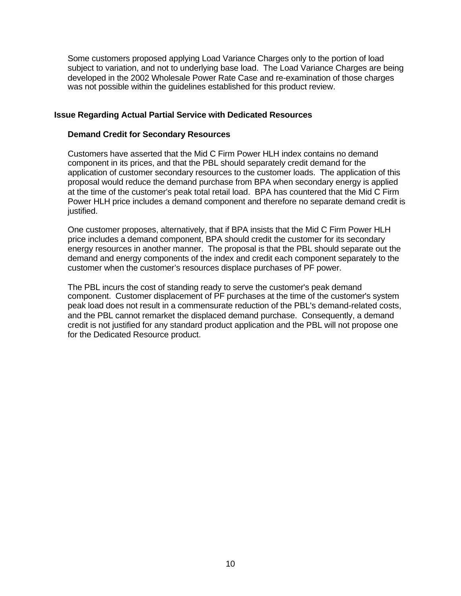Some customers proposed applying Load Variance Charges only to the portion of load subject to variation, and not to underlying base load. The Load Variance Charges are being developed in the 2002 Wholesale Power Rate Case and re-examination of those charges was not possible within the guidelines established for this product review.

#### **Issue Regarding Actual Partial Service with Dedicated Resources**

#### **Demand Credit for Secondary Resources**

Customers have asserted that the Mid C Firm Power HLH index contains no demand component in its prices, and that the PBL should separately credit demand for the application of customer secondary resources to the customer loads. The application of this proposal would reduce the demand purchase from BPA when secondary energy is applied at the time of the customer's peak total retail load. BPA has countered that the Mid C Firm Power HLH price includes a demand component and therefore no separate demand credit is justified.

One customer proposes, alternatively, that if BPA insists that the Mid C Firm Power HLH price includes a demand component, BPA should credit the customer for its secondary energy resources in another manner. The proposal is that the PBL should separate out the demand and energy components of the index and credit each component separately to the customer when the customer's resources displace purchases of PF power.

The PBL incurs the cost of standing ready to serve the customer's peak demand component. Customer displacement of PF purchases at the time of the customer's system peak load does not result in a commensurate reduction of the PBL's demand-related costs, and the PBL cannot remarket the displaced demand purchase. Consequently, a demand credit is not justified for any standard product application and the PBL will not propose one for the Dedicated Resource product.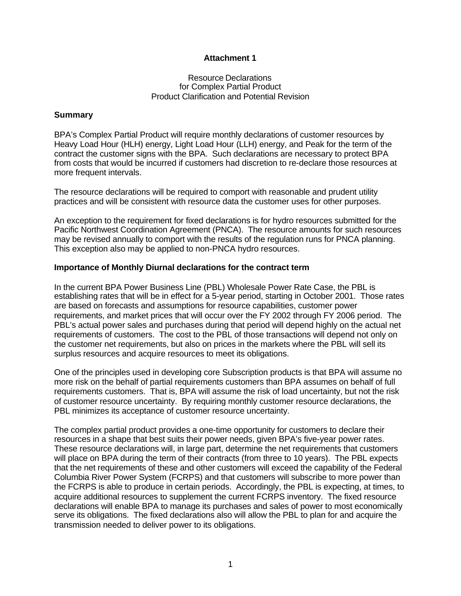## **Attachment 1**

#### Resource Declarations for Complex Partial Product Product Clarification and Potential Revision

#### **Summary**

BPA's Complex Partial Product will require monthly declarations of customer resources by Heavy Load Hour (HLH) energy, Light Load Hour (LLH) energy, and Peak for the term of the contract the customer signs with the BPA. Such declarations are necessary to protect BPA from costs that would be incurred if customers had discretion to re-declare those resources at more frequent intervals.

The resource declarations will be required to comport with reasonable and prudent utility practices and will be consistent with resource data the customer uses for other purposes.

An exception to the requirement for fixed declarations is for hydro resources submitted for the Pacific Northwest Coordination Agreement (PNCA). The resource amounts for such resources may be revised annually to comport with the results of the regulation runs for PNCA planning. This exception also may be applied to non-PNCA hydro resources.

#### **Importance of Monthly Diurnal declarations for the contract term**

In the current BPA Power Business Line (PBL) Wholesale Power Rate Case, the PBL is establishing rates that will be in effect for a 5-year period, starting in October 2001. Those rates are based on forecasts and assumptions for resource capabilities, customer power requirements, and market prices that will occur over the FY 2002 through FY 2006 period. The PBL's actual power sales and purchases during that period will depend highly on the actual net requirements of customers. The cost to the PBL of those transactions will depend not only on the customer net requirements, but also on prices in the markets where the PBL will sell its surplus resources and acquire resources to meet its obligations.

One of the principles used in developing core Subscription products is that BPA will assume no more risk on the behalf of partial requirements customers than BPA assumes on behalf of full requirements customers. That is, BPA will assume the risk of load uncertainty, but not the risk of customer resource uncertainty. By requiring monthly customer resource declarations, the PBL minimizes its acceptance of customer resource uncertainty.

The complex partial product provides a one-time opportunity for customers to declare their resources in a shape that best suits their power needs, given BPA's five-year power rates. These resource declarations will, in large part, determine the net requirements that customers will place on BPA during the term of their contracts (from three to 10 years). The PBL expects that the net requirements of these and other customers will exceed the capability of the Federal Columbia River Power System (FCRPS) and that customers will subscribe to more power than the FCRPS is able to produce in certain periods. Accordingly, the PBL is expecting, at times, to acquire additional resources to supplement the current FCRPS inventory. The fixed resource declarations will enable BPA to manage its purchases and sales of power to most economically serve its obligations. The fixed declarations also will allow the PBL to plan for and acquire the transmission needed to deliver power to its obligations.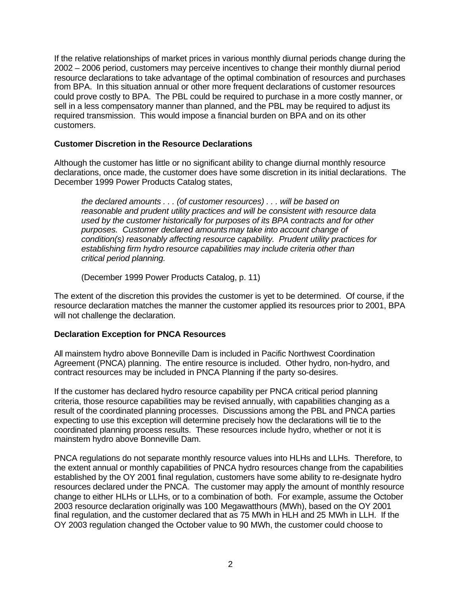If the relative relationships of market prices in various monthly diurnal periods change during the 2002 – 2006 period, customers may perceive incentives to change their monthly diurnal period resource declarations to take advantage of the optimal combination of resources and purchases from BPA. In this situation annual or other more frequent declarations of customer resources could prove costly to BPA. The PBL could be required to purchase in a more costly manner, or sell in a less compensatory manner than planned, and the PBL may be required to adjust its required transmission. This would impose a financial burden on BPA and on its other customers.

# **Customer Discretion in the Resource Declarations**

Although the customer has little or no significant ability to change diurnal monthly resource declarations, once made, the customer does have some discretion in its initial declarations. The December 1999 Power Products Catalog states,

*the declared amounts . . . (of customer resources) . . . will be based on reasonable and prudent utility practices and will be consistent with resource data used by the customer historically for purposes of its BPA contracts and for other purposes. Customer declared amounts may take into account change of condition(s) reasonably affecting resource capability. Prudent utility practices for establishing firm hydro resource capabilities may include criteria other than critical period planning.*

(December 1999 Power Products Catalog, p. 11)

The extent of the discretion this provides the customer is yet to be determined. Of course, if the resource declaration matches the manner the customer applied its resources prior to 2001, BPA will not challenge the declaration.

## **Declaration Exception for PNCA Resources**

All mainstem hydro above Bonneville Dam is included in Pacific Northwest Coordination Agreement (PNCA) planning. The entire resource is included. Other hydro, non-hydro, and contract resources may be included in PNCA Planning if the party so-desires.

If the customer has declared hydro resource capability per PNCA critical period planning criteria, those resource capabilities may be revised annually, with capabilities changing as a result of the coordinated planning processes. Discussions among the PBL and PNCA parties expecting to use this exception will determine precisely how the declarations will tie to the coordinated planning process results. These resources include hydro, whether or not it is mainstem hydro above Bonneville Dam.

PNCA regulations do not separate monthly resource values into HLHs and LLHs. Therefore, to the extent annual or monthly capabilities of PNCA hydro resources change from the capabilities established by the OY 2001 final regulation, customers have some ability to re-designate hydro resources declared under the PNCA. The customer may apply the amount of monthly resource change to either HLHs or LLHs, or to a combination of both. For example, assume the October 2003 resource declaration originally was 100 Megawatthours (MWh), based on the OY 2001 final regulation, and the customer declared that as 75 MWh in HLH and 25 MWh in LLH. If the OY 2003 regulation changed the October value to 90 MWh, the customer could choose to